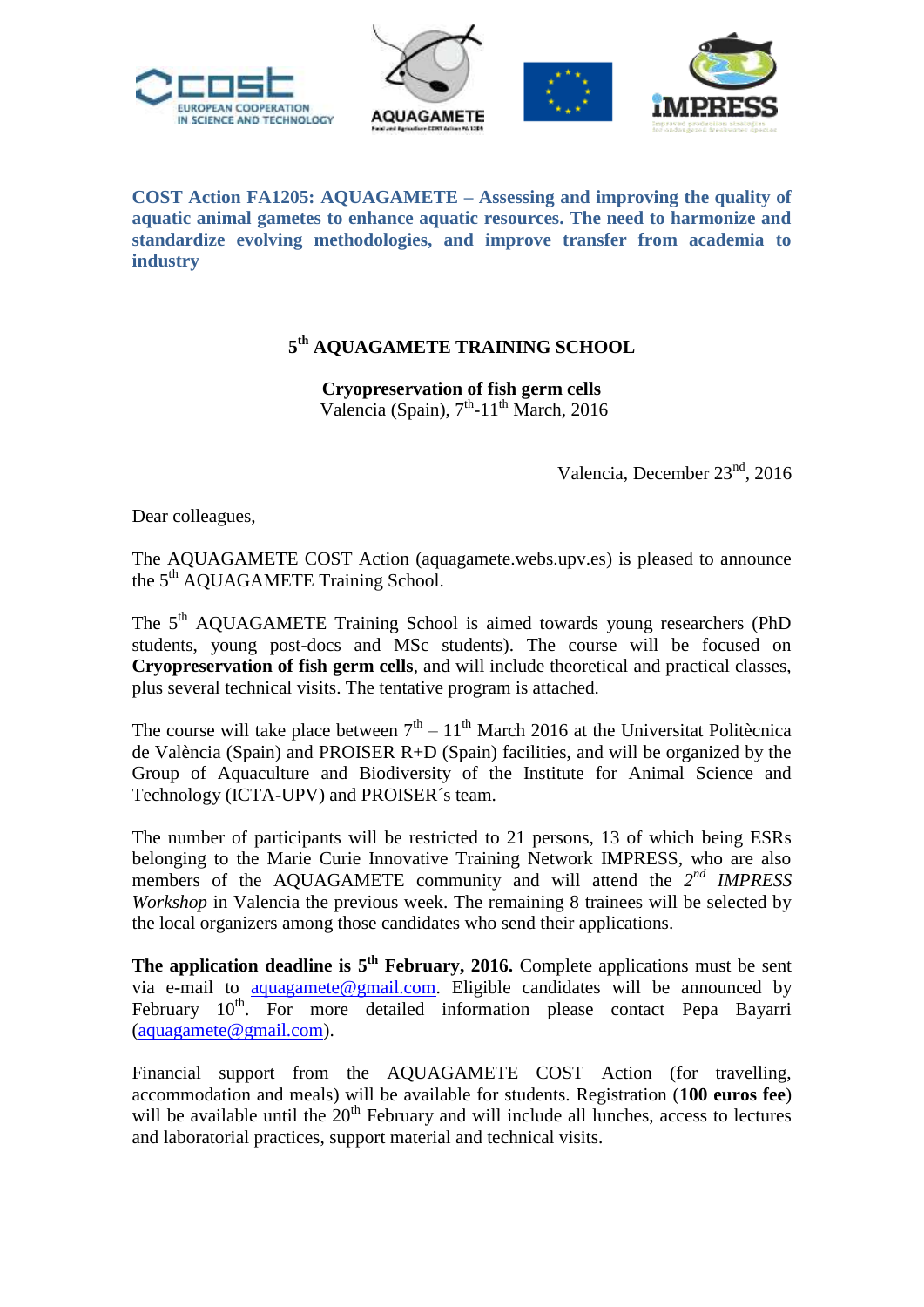

**COST Action FA1205: AQUAGAMETE – Assessing and improving the quality of aquatic animal gametes to enhance aquatic resources. The need to harmonize and standardize evolving methodologies, and improve transfer from academia to industry**

## **5 th AQUAGAMETE TRAINING SCHOOL**

**Cryopreservation of fish germ cells** Valencia (Spain), 7<sup>th</sup>-11<sup>th</sup> March, 2016

Valencia, December 23<sup>nd</sup>, 2016

Dear colleagues,

The AQUAGAMETE COST Action (aquagamete.webs.upv.es) is pleased to announce the 5<sup>th</sup> AQUAGAMETE Training School.

The 5<sup>th</sup> AQUAGAMETE Training School is aimed towards young researchers (PhD students, young post-docs and MSc students). The course will be focused on **Cryopreservation of fish germ cells**, and will include theoretical and practical classes, plus several technical visits. The tentative program is attached.

The course will take place between  $7<sup>th</sup> - 11<sup>th</sup>$  March 2016 at the Universitat Politècnica de València (Spain) and PROISER R+D (Spain) facilities, and will be organized by the Group of Aquaculture and Biodiversity of the Institute for Animal Science and Technology (ICTA-UPV) and PROISER´s team.

The number of participants will be restricted to 21 persons, 13 of which being ESRs belonging to the Marie Curie Innovative Training Network IMPRESS, who are also members of the AQUAGAMETE community and will attend the 2<sup>nd</sup> IMPRESS *Workshop* in Valencia the previous week. The remaining 8 trainees will be selected by the local organizers among those candidates who send their applications.

**The application deadline is 5<sup>th</sup> February, 2016.** Complete applications must be sent via e-mail to [aquagamete@gmail.com.](mailto:aquagamete@gmail.com) Eligible candidates will be announced by February  $10^{th}$ . For more detailed information please contact Pepa Bayarri [\(aquagamete@gmail.com\)](mailto:aquagamete@gmail.com).

Financial support from the AQUAGAMETE COST Action (for travelling, accommodation and meals) will be available for students. Registration (**100 euros fee**) will be available until the  $20<sup>th</sup>$  February and will include all lunches, access to lectures and laboratorial practices, support material and technical visits.